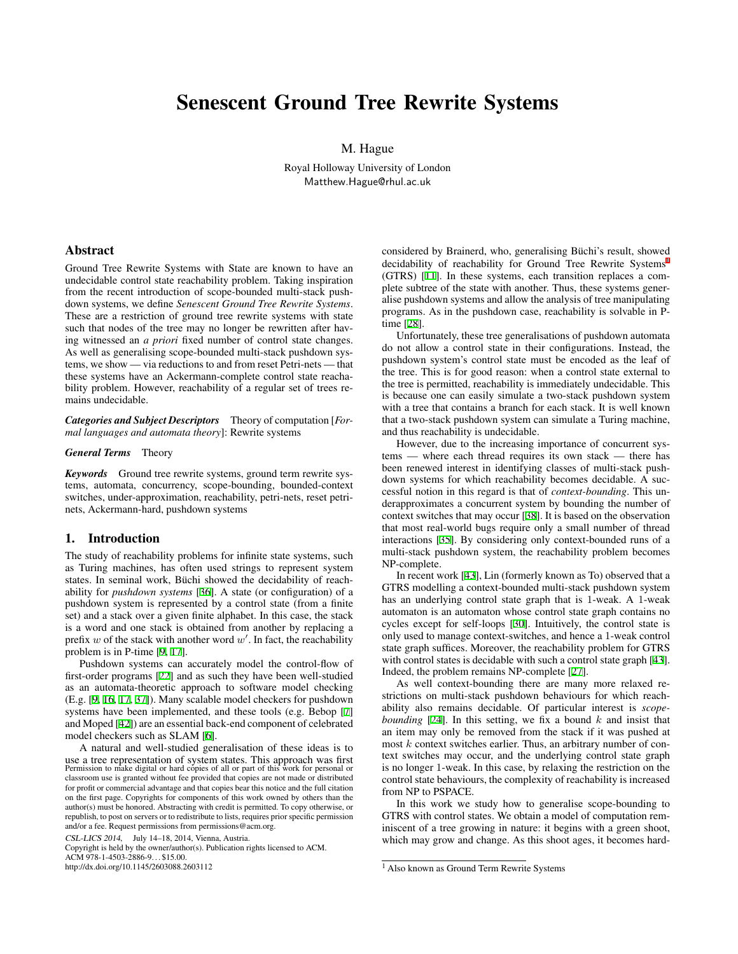# Senescent Ground Tree Rewrite Systems

M. Hague

Royal Holloway University of London Matthew.Hague@rhul.ac.uk

#### Abstract

Ground Tree Rewrite Systems with State are known to have an undecidable control state reachability problem. Taking inspiration from the recent introduction of scope-bounded multi-stack pushdown systems, we define *Senescent Ground Tree Rewrite Systems*. These are a restriction of ground tree rewrite systems with state such that nodes of the tree may no longer be rewritten after having witnessed an *a priori* fixed number of control state changes. As well as generalising scope-bounded multi-stack pushdown systems, we show — via reductions to and from reset Petri-nets — that these systems have an Ackermann-complete control state reachability problem. However, reachability of a regular set of trees remains undecidable.

*Categories and Subject Descriptors* Theory of computation [*Formal languages and automata theory*]: Rewrite systems

#### *General Terms* Theory

*Keywords* Ground tree rewrite systems, ground term rewrite systems, automata, concurrency, scope-bounding, bounded-context switches, under-approximation, reachability, petri-nets, reset petrinets, Ackermann-hard, pushdown systems

## 1. Introduction

The study of reachability problems for infinite state systems, such as Turing machines, has often used strings to represent system states. In seminal work, Büchi showed the decidability of reachability for *pushdown systems* [[36\]](#page-9-0). A state (or configuration) of a pushdown system is represented by a control state (from a finite set) and a stack over a given finite alphabet. In this case, the stack is a word and one stack is obtained from another by replacing a prefix *w* of the stack with another word *w ′* . In fact, the reachability problem is in P-time [[9](#page-9-1), [17\]](#page-9-2).

Pushdown systems can accurately model the control-flow of first-order programs [\[22](#page-9-3)] and as such they have been well-studied as an automata-theoretic approach to software model checking (E.g. [[9](#page-9-1), [16](#page-9-4), [17,](#page-9-2) [37](#page-9-5)]). Many scalable model checkers for pushdown systems have been implemented, and these tools (e.g. Bebop [[7](#page-9-6)] and Moped [[42\]](#page-9-7)) are an essential back-end component of celebrated model checkers such as SLAM [[6](#page-9-8)].

A natural and well-studied generalisation of these ideas is to use a tree representation of system states. This approach was first Permission to make digital or hard copies of all or part of this work for personal or classroom use is granted without fee provided that copies are not made or distributed for profit or commercial advantage and that copies bear this notice and the full citation on the first page. Copyrights for components of this work owned by others than the author(s) must be honored. Abstracting with credit is permitted. To copy otherwise, or republish, to post on servers or to redistribute to lists, requires prior specific permission and/or a fee. Request permissions from permissions@acm.org.

CSL-LICS <sup>2014</sup>, July 14–18, 2014, Vienna, Austria.

Copyright is held by the owner/author(s). Publication rights licensed to ACM. ACM 978-1-4503-2886-9... \$15.00.

http://dx.doi.org/10.1145/2603088.2603112

considered by Brainerd, who, generalising Büchi's result, showed decidability of reachability for Ground Tree Rewrite Systems<sup>[1](#page-0-0)</sup> (GTRS) [[11\]](#page-9-9). In these systems, each transition replaces a complete subtree of the state with another. Thus, these systems generalise pushdown systems and allow the analysis of tree manipulating programs. As in the pushdown case, reachability is solvable in Ptime [\[28](#page-9-10)].

Unfortunately, these tree generalisations of pushdown automata do not allow a control state in their configurations. Instead, the pushdown system's control state must be encoded as the leaf of the tree. This is for good reason: when a control state external to the tree is permitted, reachability is immediately undecidable. This is because one can easily simulate a two-stack pushdown system with a tree that contains a branch for each stack. It is well known that a two-stack pushdown system can simulate a Turing machine, and thus reachability is undecidable.

However, due to the increasing importance of concurrent systems — where each thread requires its own stack — there has been renewed interest in identifying classes of multi-stack pushdown systems for which reachability becomes decidable. A successful notion in this regard is that of *context-bounding*. This underapproximates a concurrent system by bounding the number of context switches that may occur [\[38](#page-9-11)]. It is based on the observation that most real-world bugs require only a small number of thread interactions [[35\]](#page-9-12). By considering only context-bounded runs of a multi-stack pushdown system, the reachability problem becomes NP-complete.

In recent work [[43\]](#page-9-13), Lin (formerly known as To) observed that a GTRS modelling a context-bounded multi-stack pushdown system has an underlying control state graph that is 1-weak. A 1-weak automaton is an automaton whose control state graph contains no cycles except for self-loops [\[30](#page-9-14)]. Intuitively, the control state is only used to manage context-switches, and hence a 1-weak control state graph suffices. Moreover, the reachability problem for GTRS with control states is decidable with such a control state graph [[43\]](#page-9-13). Indeed, the problem remains NP-complete [\[27](#page-9-15)].

As well context-bounding there are many more relaxed restrictions on multi-stack pushdown behaviours for which reachability also remains decidable. Of particular interest is *scopebounding* [[24\]](#page-9-16). In this setting, we fix a bound *k* and insist that an item may only be removed from the stack if it was pushed at most *k* context switches earlier. Thus, an arbitrary number of context switches may occur, and the underlying control state graph is no longer 1-weak. In this case, by relaxing the restriction on the control state behaviours, the complexity of reachability is increased from NP to PSPACE.

In this work we study how to generalise scope-bounding to GTRS with control states. We obtain a model of computation reminiscent of a tree growing in nature: it begins with a green shoot, which may grow and change. As this shoot ages, it becomes hard-

<span id="page-0-0"></span><sup>&</sup>lt;sup>1</sup> Also known as Ground Term Rewrite Systems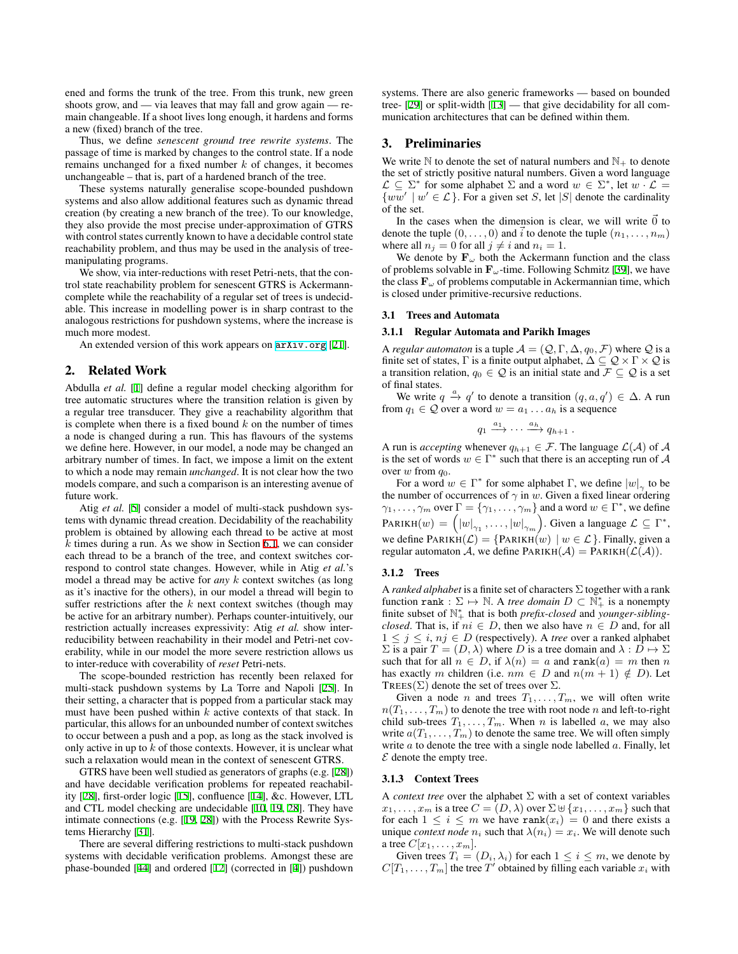ened and forms the trunk of the tree. From this trunk, new green shoots grow, and — via leaves that may fall and grow again — remain changeable. If a shoot lives long enough, it hardens and forms a new (fixed) branch of the tree.

Thus, we define *senescent ground tree rewrite systems*. The passage of time is marked by changes to the control state. If a node remains unchanged for a fixed number *k* of changes, it becomes unchangeable – that is, part of a hardened branch of the tree.

These systems naturally generalise scope-bounded pushdown systems and also allow additional features such as dynamic thread creation (by creating a new branch of the tree). To our knowledge, they also provide the most precise under-approximation of GTRS with control states currently known to have a decidable control state reachability problem, and thus may be used in the analysis of treemanipulating programs.

We show, via inter-reductions with reset Petri-nets, that the control state reachability problem for senescent GTRS is Ackermanncomplete while the reachability of a regular set of trees is undecidable. This increase in modelling power is in sharp contrast to the analogous restrictions for pushdown systems, where the increase is much more modest.

An extended version of this work appears on <arXiv.org> [\[21](#page-9-17)].

#### 2. Related Work

Abdulla *et al.* [\[1\]](#page-9-18) define a regular model checking algorithm for tree automatic structures where the transition relation is given by a regular tree transducer. They give a reachability algorithm that is complete when there is a fixed bound *k* on the number of times a node is changed during a run. This has flavours of the systems we define here. However, in our model, a node may be changed an arbitrary number of times. In fact, we impose a limit on the extent to which a node may remain *unchanged*. It is not clear how the two models compare, and such a comparison is an interesting avenue of future work.

Atig *et al.* [\[5\]](#page-9-19) consider a model of multi-stack pushdown systems with dynamic thread creation. Decidability of the reachability problem is obtained by allowing each thread to be active at most *k* times during a run. As we show in Section [6.1,](#page-4-0) we can consider each thread to be a branch of the tree, and context switches correspond to control state changes. However, while in Atig *et al.*'s model a thread may be active for *any k* context switches (as long as it's inactive for the others), in our model a thread will begin to suffer restrictions after the *k* next context switches (though may be active for an arbitrary number). Perhaps counter-intuitively, our restriction actually increases expressivity: Atig *et al.* show interreducibility between reachability in their model and Petri-net coverability, while in our model the more severe restriction allows us to inter-reduce with coverability of *reset* Petri-nets.

The scope-bounded restriction has recently been relaxed for multi-stack pushdown systems by La Torre and Napoli [[25\]](#page-9-20). In their setting, a character that is popped from a particular stack may must have been pushed within *k* active contexts of that stack. In particular, this allows for an unbounded number of context switches to occur between a push and a pop, as long as the stack involved is only active in up to *k* of those contexts. However, it is unclear what such a relaxation would mean in the context of senescent GTRS.

GTRS have been well studied as generators of graphs (e.g. [\[28](#page-9-10)]) and have decidable verification problems for repeated reachability [[28\]](#page-9-10), first-order logic [\[15](#page-9-21)], confluence [\[14](#page-9-22)], &c. However, LTL and CTL model checking are undecidable [\[10](#page-9-23), [19](#page-9-24), [28\]](#page-9-10). They have intimate connections (e.g. [[19,](#page-9-24) [28\]](#page-9-10)) with the Process Rewrite Systems Hierarchy [\[31](#page-9-25)].

There are several differing restrictions to multi-stack pushdown systems with decidable verification problems. Amongst these are phase-bounded [[44\]](#page-9-26) and ordered [\[12](#page-9-27)] (corrected in [\[4\]](#page-9-28)) pushdown

systems. There are also generic frameworks — based on bounded tree- [\[29](#page-9-29)] or split-width [\[13](#page-9-30)] — that give decidability for all communication architectures that can be defined within them.

# 3. Preliminaries

We write  $\mathbb N$  to denote the set of natural numbers and  $\mathbb N_+$  to denote the set of strictly positive natural numbers. Given a word language  $\mathcal{L} \subseteq \Sigma^*$  for some alphabet  $\Sigma$  and a word  $w \in \Sigma^*$ , let  $w \cdot \mathcal{L} =$  $\{ww' \mid w' \in \mathcal{L}\}\$ . For a given set *S*, let *|S|* denote the cardinality of the set.

In the cases when the dimension is clear, we will write  $\vec{0}$  to denote the tuple  $(0, \ldots, 0)$  and *i* to denote the tuple  $(n_1, \ldots, n_m)$ where all  $n_j = 0$  for all  $j \neq i$  and  $n_i = 1$ .

We denote by  $\mathbf{F}_{\omega}$  both the Ackermann function and the class of problems solvable in **F***ω*-time. Following Schmitz [[39\]](#page-9-31), we have the class  $\mathbf{F}_{\omega}$  of problems computable in Ackermannian time, which is closed under primitive-recursive reductions.

#### 3.1 Trees and Automata

#### 3.1.1 Regular Automata and Parikh Images

A *regular automaton* is a tuple  $A = (Q, \Gamma, \Delta, q_0, \mathcal{F})$  where Q is a finite set of states,  $\Gamma$  is a finite output alphabet,  $\Delta \subseteq \mathcal{Q} \times \Gamma \times \mathcal{Q}$  is a transition relation,  $q_0 \in \mathcal{Q}$  is an initial state and  $\mathcal{F} \subseteq \mathcal{Q}$  is a set of final states.

We write  $q \stackrel{a}{\rightarrow} q'$  to denote a transition  $(q, a, q') \in \Delta$ . A run from  $q_1 \in \mathcal{Q}$  over a word  $w = a_1 \dots a_h$  is a sequence

$$
q_1 \xrightarrow{a_1} \cdots \xrightarrow{a_h} q_{h+1} .
$$

A run is *accepting* whenever  $q_{h+1} \in \mathcal{F}$ . The language  $\mathcal{L}(\mathcal{A})$  of  $\mathcal{A}$ is the set of words  $w \in \Gamma^*$  such that there is an accepting run of  $\mathcal A$ over *w* from *q*0.

For a word  $w \in \Gamma^*$  for some alphabet  $\Gamma$ , we define  $|w|_{\gamma}$  to be the number of occurrences of  $\gamma$  in *w*. Given a fixed linear ordering *γ*<sub>1</sub>, . . . . ,  $\gamma_m$  over  $\Gamma = \{\gamma_1, \ldots, \gamma_m\}$  and a word  $w \in \Gamma^*$ , we define  $\text{PARIKH}(w) = \left( |w|_{\gamma_1}, \ldots, |w|_{\gamma_m} \right)$ . Given a language  $\mathcal{L} \subseteq \Gamma^*$ , we define  $\text{PARKH}(\mathcal{L}) = \{\text{PARKH}(w) \mid w \in \mathcal{L}\}\$ . Finally, given a regular automaton *A*, we define  $\text{PARIKH}(\mathcal{A}) = \text{PARIKH}(\mathcal{L}(\mathcal{A})).$ 

#### 3.1.2 Trees

A *ranked alphabet* is a finite set of characters Σ together with a rank function rank :  $\Sigma \mapsto \mathbb{N}$ . A *tree domain*  $D \subset \mathbb{N}_+^*$  is a nonempty finite subset of N *∗* <sup>+</sup> that is both *prefix-closed* and *younger-siblingclosed*. That is, if  $ni \in D$ , then we also have  $n \in D$  and, for all  $1 \leq j \leq i$ ,  $nj \in D$  (respectively). A *tree* over a ranked alphabet  $Σ$  is a pair  $T = (D, λ)$  where *D* is a tree domain and  $λ : D → Σ$ such that for all  $n \in D$ , if  $\lambda(n) = a$  and  $\text{rank}(a) = m$  then *n* has exactly *m* children (i.e.  $nm \in D$  and  $n(m + 1) \notin D$ ). Let TREES( $\Sigma$ ) denote the set of trees over  $\Sigma$ .

Given a node *n* and trees  $T_1, \ldots, T_m$ , we will often write  $n(T_1, \ldots, T_m)$  to denote the tree with root node *n* and left-to-right child sub-trees  $T_1, \ldots, T_m$ . When *n* is labelled *a*, we may also write  $a(T_1, \ldots, T_m)$  to denote the same tree. We will often simply write *a* to denote the tree with a single node labelled *a*. Finally, let *E* denote the empty tree.

#### 3.1.3 Context Trees

A *context tree* over the alphabet Σ with a set of context variables  $x_1, \ldots, x_m$  is a tree  $C = (D, \lambda)$  over  $\Sigma \cup \{x_1, \ldots, x_m\}$  such that for each  $1 \leq i \leq m$  we have rank $(x_i) = 0$  and there exists a unique *context node*  $n_i$  such that  $\lambda(n_i) = x_i$ . We will denote such a tree  $C[x_1, \ldots, x_m]$ .

Given trees  $T_i = (D_i, \lambda_i)$  for each  $1 \leq i \leq m$ , we denote by  $C[T_1, \ldots, T_m]$  the tree  $T'$  obtained by filling each variable  $x_i$  with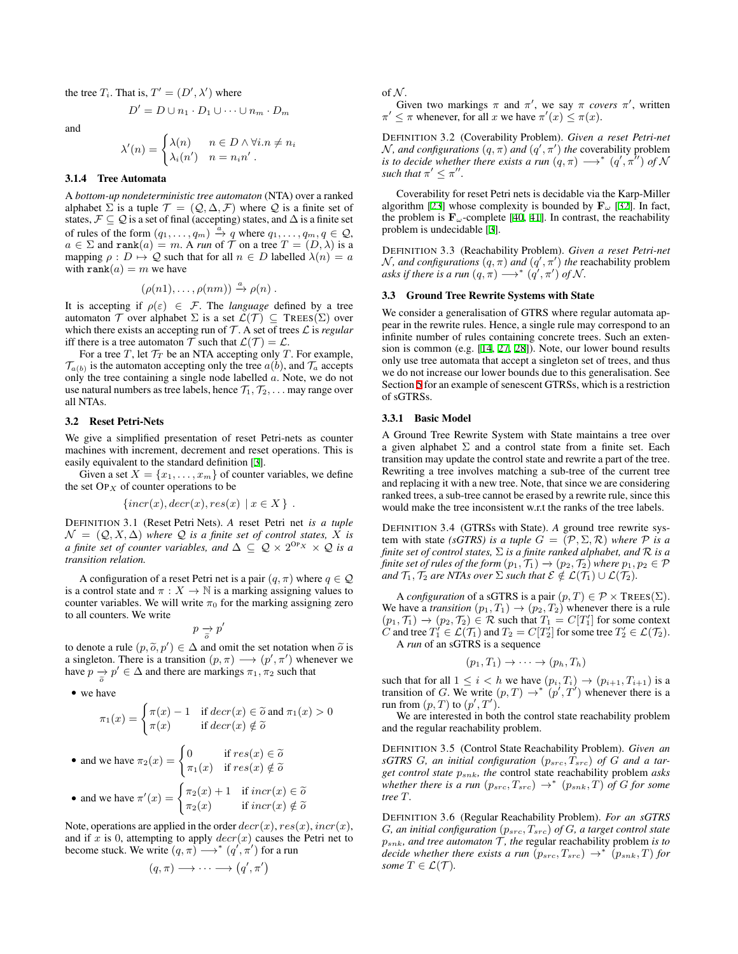the tree  $T_i$ . That is,  $T' = (D', \lambda')$  where

$$
D' = D \cup n_1 \cdot D_1 \cup \cdots \cup n_m \cdot D_m
$$

and

$$
\lambda'(n) = \begin{cases} \lambda(n) & n \in D \land \forall i . n \neq n_i \\ \lambda_i(n') & n = n_i n'. \end{cases}
$$

## 3.1.4 Tree Automata

A *bottom-up nondeterministic tree automaton* (NTA) over a ranked alphabet  $\Sigma$  is a tuple  $\mathcal{T} = (Q, \Delta, \mathcal{F})$  where  $Q$  is a finite set of states,  $\mathcal{F} \subseteq \mathcal{Q}$  is a set of final (accepting) states, and  $\Delta$  is a finite set of rules of the form  $(q_1, \ldots, q_m) \stackrel{a}{\rightarrow} q$  where  $q_1, \ldots, q_m, q \in \mathcal{Q}$ ,  $a \in \Sigma$  and rank $(a) = m$ . A *run* of  $\hat{\mathcal{T}}$  on a tree  $T = (D, \lambda)$  is a mapping  $\rho : D \mapsto \mathcal{Q}$  such that for all  $n \in D$  labelled  $\lambda(n) = a$ with  $\text{rank}(a) = m$  we have

$$
(\rho(n1),\ldots,\rho(nm)) \stackrel{a}{\to} \rho(n) .
$$

It is accepting if  $\rho(\varepsilon) \in \mathcal{F}$ . The *language* defined by a tree automaton  $\mathcal T$  over alphabet  $\Sigma$  is a set  $\mathcal L(\mathcal T) \subseteq \mathsf{T} \mathsf{REES}(\Sigma)$  over which there exists an accepting run of *T* . A set of trees *L* is *regular* iff there is a tree automaton  $\mathcal T$  such that  $\mathcal L(\mathcal T) = \mathcal L$ .

For a tree *T*, let  $\mathcal{T}_T$  be an NTA accepting only *T*. For example,  $\mathcal{T}_{a(b)}$  is the automaton accepting only the tree  $a(b)$ , and  $\mathcal{T}_a$  accepts only the tree containing a single node labelled *a*. Note, we do not use natural numbers as tree labels, hence  $\mathcal{T}_1, \mathcal{T}_2, \ldots$  may range over all NTAs.

#### 3.2 Reset Petri-Nets

We give a simplified presentation of reset Petri-nets as counter machines with increment, decrement and reset operations. This is easily equivalent to the standard definition [[3](#page-9-32)].

Given a set  $X = \{x_1, \ldots, x_m\}$  of counter variables, we define the set OP*<sup>X</sup>* of counter operations to be

$$
\{incr(x), decr(x), res(x) \mid x \in X \} .
$$

DEFINITION 3.1 (Reset Petri Nets). *A* reset Petri net *is a tuple*  $\mathcal{N} = (\mathcal{Q}, X, \Delta)$  *where*  $\mathcal{Q}$  *is a finite set of control states,*  $\overline{X}$  *is a finite set of counter variables, and*  $\Delta \subseteq \mathcal{Q} \times 2^{OP_X} \times \mathcal{Q}$  *is a transition relation.*

A configuration of a reset Petri net is a pair  $(q, \pi)$  where  $q \in \mathcal{Q}$ is a control state and  $\pi : X \to \mathbb{N}$  is a marking assigning values to counter variables. We will write  $\pi_0$  for the marking assigning zero to all counters. We write

$$
p \underset{\widetilde{\sigma}}{\rightarrow} p'
$$

to denote a rule  $(p, \tilde{o}, p') \in \Delta$  and omit the set notation when  $\tilde{o}$  is<br>a singleton. There is a transition  $(p, \pi) \rightarrow (p', \pi')$  whenever we a singleton. There is a transition  $(p, \pi) \longrightarrow (p', \pi')$  whenever we have  $p \rightarrow p' \in \Delta$  and there are markings  $\pi_1, \pi_2$  such that

*•* we have

$$
\pi_1(x) = \begin{cases} \pi(x) - 1 & \text{if } decr(x) \in \tilde{o} \text{ and } \pi_1(x) > 0 \\ \pi(x) & \text{if } decr(x) \notin \tilde{o} \end{cases}
$$
  
• and we have  $\pi_2(x) = \begin{cases} 0 & \text{if } res(x) \in \tilde{o} \\ \pi_1(x) & \text{if } res(x) \notin \tilde{o} \end{cases}$   

$$
\begin{cases} \pi_2(x) + 1 & \text{if } incr(x) \in \tilde{o} \end{cases}
$$

• and we have 
$$
\pi'(x) = \begin{cases} \pi_2(x) + 1 & \text{if } incr(x) \in \widetilde{o} \\ \pi_2(x) & \text{if } incr(x) \notin \widetilde{o} \end{cases}
$$

Note, operations are applied in the order  $decr(x)$ ,  $res(x)$ ,  $incr(x)$ , and if *x* is 0, attempting to apply *decr*(*x*) causes the Petri net to become stuck. We write  $(q, \pi) \longrightarrow^* (q', \pi')$  for a run

$$
(q,\pi)\longrightarrow\cdots\longrightarrow(q',\pi')
$$

of  $N$ .

Given two markings  $\pi$  and  $\pi'$ , we say  $\pi$  *covers*  $\pi'$ , written  $\pi' \leq \pi$  whenever, for all *x* we have  $\pi'(x) \leq \pi(x)$ .

DEFINITION 3.2 (Coverability Problem). *Given a reset Petri-net*  $N$ *, and configurations*  $(q, \pi)$  *and*  $(q', \pi')$  *the* coverability problem *is to decide whether there exists a run*  $(q, \pi) \longrightarrow^* (q', \pi'')$  *of*  $\mathcal N$ *such that*  $\pi' \leq \pi''$ .

Coverability for reset Petri nets is decidable via the Karp-Miller algorithm [[23\]](#page-9-33) whose complexity is bounded by  $\mathbf{F}_{\omega}$  [\[32](#page-9-34)]. In fact, the problem is  $\mathbf{F}_{\omega}$ -complete [[40,](#page-9-35) [41\]](#page-9-36). In contrast, the reachability problem is undecidable [[3](#page-9-32)].

DEFINITION 3.3 (Reachability Problem). *Given a reset Petri-net*  $N$ *, and configurations*  $(q, \pi)$  *and*  $(q', \pi')$  *the* reachability problem *asks if there is a run*  $(q, \pi) \longrightarrow^* (q', \pi')$  *of*  $\mathcal N$ *.* 

## 3.3 Ground Tree Rewrite Systems with State

We consider a generalisation of GTRS where regular automata appear in the rewrite rules. Hence, a single rule may correspond to an infinite number of rules containing concrete trees. Such an extension is common (e.g. [\[14](#page-9-22), [27](#page-9-15), [28](#page-9-10)]). Note, our lower bound results only use tree automata that accept a singleton set of trees, and thus we do not increase our lower bounds due to this generalisation. See Section [5](#page-4-1) for an example of senescent GTRSs, which is a restriction of sGTRSs.

#### 3.3.1 Basic Model

A Ground Tree Rewrite System with State maintains a tree over a given alphabet  $\Sigma$  and a control state from a finite set. Each transition may update the control state and rewrite a part of the tree. Rewriting a tree involves matching a sub-tree of the current tree and replacing it with a new tree. Note, that since we are considering ranked trees, a sub-tree cannot be erased by a rewrite rule, since this would make the tree inconsistent w.r.t the ranks of the tree labels.

DEFINITION 3.4 (GTRSs with State). *A* ground tree rewrite system with state *(sGTRS)* is a tuple  $G = (\mathcal{P}, \Sigma, \mathcal{R})$  where  $\mathcal P$  is a *finite set of control states,* Σ *is a finite ranked alphabet, and R is a finite set of rules of the form*  $(p_1, \mathcal{T}_1) \rightarrow (p_2, \mathcal{T}_2)$  *where*  $p_1, p_2 \in \mathcal{P}$ *and*  $\mathcal{T}_1$ ,  $\mathcal{T}_2$  *are NTAs over*  $\Sigma$  *such that*  $\mathcal{E} \notin \mathcal{L}(\mathcal{T}_1) \cup \mathcal{L}(\mathcal{T}_2)$ *.* 

A *configuration* of a sGTRS is a pair  $(p, T) \in \mathcal{P} \times \text{TREES}(\Sigma)$ . We have a *transition*  $(p_1, T_1) \rightarrow (p_2, T_2)$  whenever there is a rule  $(p_1, \mathcal{T}_1) \rightarrow (p_2, \mathcal{T}_2) \in \mathcal{R}$  such that  $T_1 = C[T'_1]$  for some context *C* and tree  $T'_1 \in \mathcal{L}(\mathcal{T}_1)$  and  $T_2 = C[T'_2]$  for some tree  $T'_2 \in \mathcal{L}(\mathcal{T}_2)$ . A *run* of an sGTRS is a sequence

$$
(p_1, T_1) \to \cdots \to (p_h, T_h)
$$

such that for all  $1 \leq i < h$  we have  $(p_i, T_i) \rightarrow (p_{i+1}, T_{i+1})$  is a transition of *G*. We write  $(p, T) \rightarrow^* (p', T')$  whenever there is a run from  $(p, T)$  to  $(p', T')$ .

We are interested in both the control state reachability problem and the regular reachability problem.

DEFINITION 3.5 (Control State Reachability Problem). *Given an sGTRS G, an initial configuration*  $(p_{src}, T_{src})$  *of G and a target control state psnk, the* control state reachability problem *asks whether there is a run*  $(p_{src}, T_{src}) \rightarrow^* (p_{snk}, T)$  *of G for some tree T.*

DEFINITION 3.6 (Regular Reachability Problem). *For an sGTRS G, an initial configuration* (*psrc, Tsrc*) *of G, a target control state psnk, and tree automaton T , the* regular reachability problem *is to decide whether there exists a run*  $(p_{src}, T_{src}) \rightarrow^* (p_{snk}, T)$  *for some*  $T \in \mathcal{L}(\mathcal{T})$ *.*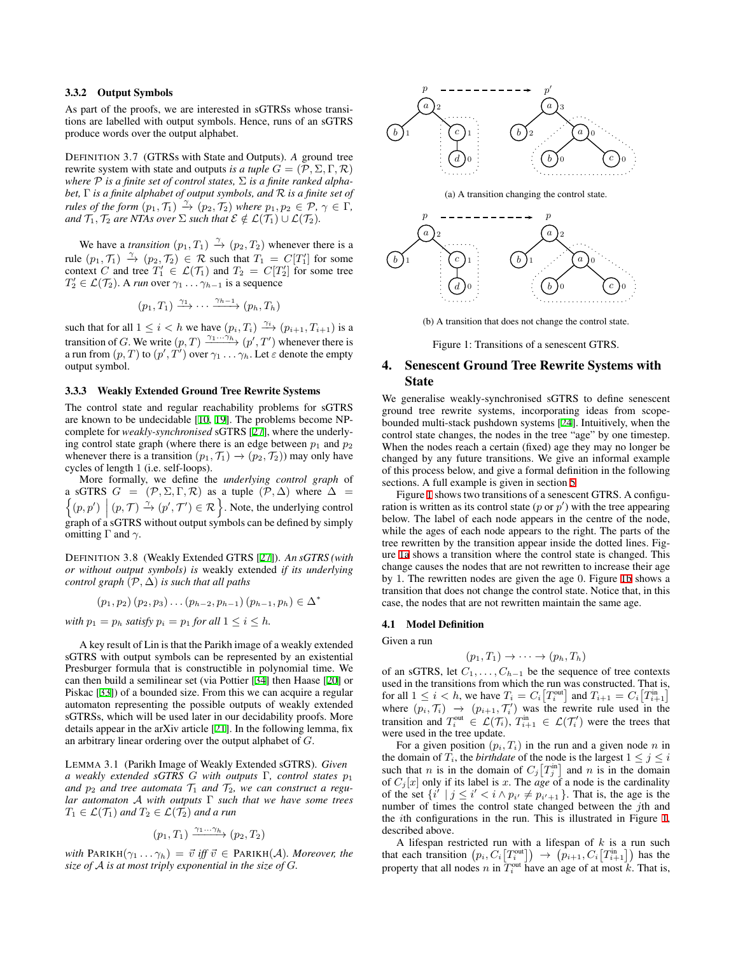#### 3.3.2 Output Symbols

As part of the proofs, we are interested in sGTRSs whose transitions are labelled with output symbols. Hence, runs of an sGTRS produce words over the output alphabet.

DEFINITION 3.7 (GTRSs with State and Outputs). *A* ground tree rewrite system with state and outputs *is a tuple*  $G = (\mathcal{P}, \Sigma, \Gamma, \mathcal{R})$ *where*  $P$  *is a finite set of control states,*  $\Sigma$  *is a finite ranked alphabet,* Γ *is a finite alphabet of output symbols, and R is a finite set of rules of the form*  $(p_1, \mathcal{T}_1) \stackrel{\gamma}{\rightarrow} (p_2, \mathcal{T}_2)$  *where*  $p_1, p_2 \in \mathcal{P}, \gamma \in \Gamma$ , *and*  $\mathcal{T}_1, \mathcal{T}_2$  *are NTAs over*  $\Sigma$  *such that*  $\mathcal{E} \notin \mathcal{L}(\mathcal{T}_1) \cup \mathcal{L}(\mathcal{T}_2)$ *.* 

We have a *transition*  $(p_1, T_1) \stackrel{\gamma}{\rightarrow} (p_2, T_2)$  whenever there is a rule  $(p_1, \mathcal{T}_1) \xrightarrow{\gamma} (p_2, \mathcal{T}_2) \in \mathcal{R}$  such that  $T_1 = C[T'_1]$  for some context *C* and tree  $T_1' \in \mathcal{L}(\mathcal{T}_1)$  and  $T_2 = C[T_2']$  for some tree  $T'_{2} \in \mathcal{L}(\mathcal{T}_{2})$ . A *run* over  $\gamma_{1} \ldots \gamma_{h-1}$  is a sequence

$$
(p_1, T_1) \xrightarrow{\gamma_1} \cdots \xrightarrow{\gamma_{h-1}} (p_h, T_h)
$$

such that for all  $1 \leq i < h$  we have  $(p_i, T_i) \xrightarrow{\gamma_i} (p_{i+1}, T_{i+1})$  is a transition of *G*. We write  $(p, T) \xrightarrow{\gamma_1 \dots \gamma_h} (p', T')$  whenever there is a run from  $(p,T)$  to  $(p',T')$  over  $\gamma_1 \ldots \gamma_h.$  Let  $\varepsilon$  denote the empty output symbol.

# 3.3.3 Weakly Extended Ground Tree Rewrite Systems

The control state and regular reachability problems for sGTRS are known to be undecidable [\[10](#page-9-23), [19](#page-9-24)]. The problems become NPcomplete for *weakly-synchronised* sGTRS [[27\]](#page-9-15), where the underlying control state graph (where there is an edge between  $p_1$  and  $p_2$ whenever there is a transition  $(p_1, \mathcal{T}_1) \rightarrow (p_2, \mathcal{T}_2)$  may only have cycles of length 1 (i.e. self-loops).

More formally, we define the *underlying control graph* of a sGTRS  $G = (\mathcal{P}, \Sigma, \Gamma, \mathcal{R})$  as a tuple  $(\mathcal{P}, \Delta)$  where  $\Delta =$  $\{(p, p') \mid (p, \mathcal{T}) \stackrel{\gamma}{\rightarrow} (p', \mathcal{T}') \in \mathcal{R}\}$ . Note, the underlying control graph of a sGTRS without output symbols can be defined by simply omitting  $\Gamma$  and  $\gamma$ .

DEFINITION 3.8 (Weakly Extended GTRS [[27\]](#page-9-15)). *An sGTRS (with or without output symbols) is* weakly extended *if its underlying control graph*  $(\mathcal{P}, \Delta)$  *is such that all paths* 

$$
(p_1, p_2) (p_2, p_3) \ldots (p_{h-2}, p_{h-1}) (p_{h-1}, p_h) \in \Delta^*
$$

*with*  $p_1 = p_h$  *satisfy*  $p_i = p_1$  *for all*  $1 \leq i \leq h$ *.* 

A key result of Lin is that the Parikh image of a weakly extended sGTRS with output symbols can be represented by an existential Presburger formula that is constructible in polynomial time. We can then build a semilinear set (via Pottier [[34\]](#page-9-37) then Haase [\[20](#page-9-38)] or Piskac [[33\]](#page-9-39)) of a bounded size. From this we can acquire a regular automaton representing the possible outputs of weakly extended sGTRSs, which will be used later in our decidability proofs. More details appear in the arXiv article [\[21](#page-9-17)]. In the following lemma, fix an arbitrary linear ordering over the output alphabet of *G*.

<span id="page-3-3"></span>LEMMA 3.1 (Parikh Image of Weakly Extended sGTRS). *Given a weakly extended sGTRS G with outputs* Γ*, control states p*<sup>1</sup> and  $p_2$  and tree automata  $T_1$  and  $T_2$ , we can construct a regu*lar automaton A with outputs* Γ *such that we have some trees*  $T_1 \in \mathcal{L}(\mathcal{T}_1)$  *and*  $T_2 \in \mathcal{L}(\mathcal{T}_2)$  *and a run* 

$$
(p_1, T_1) \xrightarrow{\gamma_1 \dots \gamma_h} (p_2, T_2)
$$

*with*  $\text{PARIKH}(\gamma_1 \dots \gamma_h) = \vec{v}$  *iff*  $\vec{v} \in \text{PARIKH}(\mathcal{A})$ *. Moreover, the size of A is at most triply exponential in the size of G.*

<span id="page-3-1"></span><span id="page-3-0"></span>

(a) A transition changing the control state.



<span id="page-3-2"></span>(b) A transition that does not change the control state.

Figure 1: Transitions of a senescent GTRS.

# 4. Senescent Ground Tree Rewrite Systems with State

We generalise weakly-synchronised sGTRS to define senescent ground tree rewrite systems, incorporating ideas from scopebounded multi-stack pushdown systems [[24\]](#page-9-16). Intuitively, when the control state changes, the nodes in the tree "age" by one timestep. When the nodes reach a certain (fixed) age they may no longer be changed by any future transitions. We give an informal example of this process below, and give a formal definition in the following sections. A full example is given in section [5](#page-4-1)

Figure [1](#page-3-0) shows two transitions of a senescent GTRS. A configuration is written as its control state (*p* or *p ′* ) with the tree appearing below. The label of each node appears in the centre of the node, while the ages of each node appears to the right. The parts of the tree rewritten by the transition appear inside the dotted lines. Figure [1a](#page-3-1) shows a transition where the control state is changed. This change causes the nodes that are not rewritten to increase their age by 1. The rewritten nodes are given the age 0. Figure [1b](#page-3-2) shows a transition that does not change the control state. Notice that, in this case, the nodes that are not rewritten maintain the same age.

#### 4.1 Model Definition

Given a run

$$
(p_1, T_1) \to \cdots \to (p_h, T_h)
$$

of an sGTRS, let *C*1*, . . . , C<sup>h</sup>−*<sup>1</sup> be the sequence of tree contexts used in the transitions from which the run was constructed. That is, for all  $1 \leq i < h$ , we have  $T_i = C_i \left[ T_i^{\text{out}} \right]$  and  $T_{i+1} = C_i \left[ T_{i+1}^{\text{in}} \right]$ where  $(p_i, \mathcal{T}_i) \rightarrow (p_{i+1}, \mathcal{T}'_i)$  was the rewrite rule used in the transition and  $T_i^{\text{out}} \in \mathcal{L}(\mathcal{T}_i)$ ,  $T_{i+1}^{\text{in}} \in \mathcal{L}(\mathcal{T}'_i)$  were the trees that were used in the tree update.

For a given position  $(p_i, T_i)$  in the run and a given node *n* in the domain of  $T_i$ , the *birthdate* of the node is the largest  $1 \leq j \leq i$ such that *n* is in the domain of  $C_j[T_j^{\text{in}}]$  and *n* is in the domain of  $C_i[x]$  only if its label is *x*. The *age* of a node is the cardinality of the set  $\{i' \mid j \leq i' < i \land p_{i'} \neq p_{i'+1}\}$ . That is, the age is the number of times the control state changed between the *j*th and the *i*th configurations in the run. This is illustrated in Figure [1,](#page-3-0) described above.

A lifespan restricted run with a lifespan of *k* is a run such that each transition  $(p_i, C_i[T_i^{\text{out}}]) \rightarrow (p_{i+1}, C_i[T_{i+1}^{\text{in}}])$  has the property that all nodes *n* in  $T_i^{\text{out}}$  have an age of at most *k*. That is,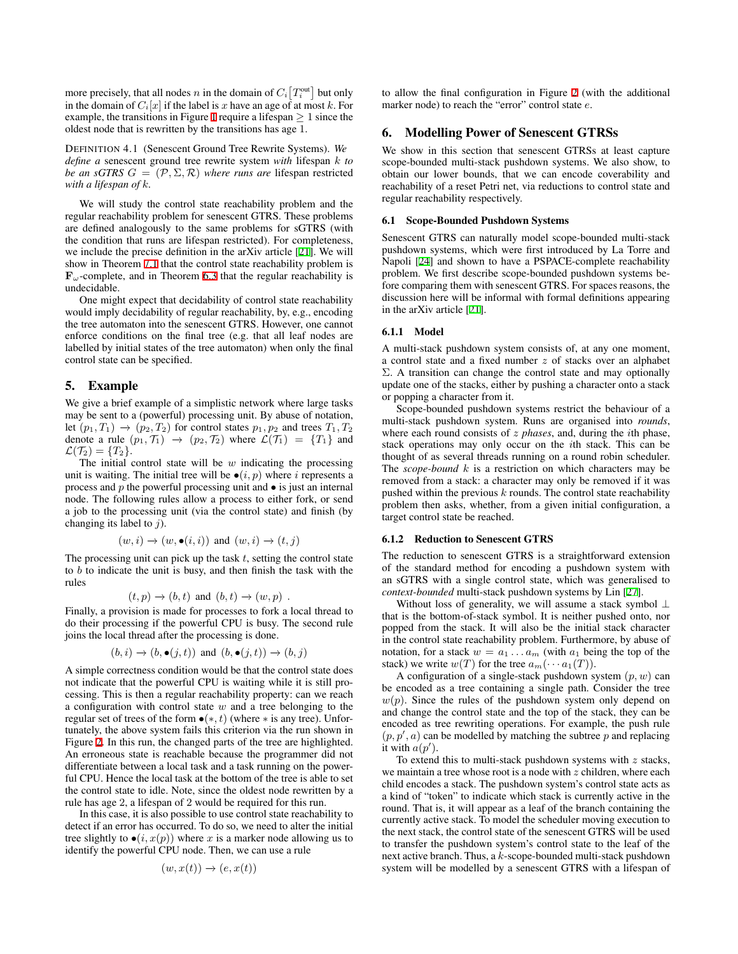more precisely, that all nodes *n* in the domain of  $C_i[T_i^{\text{out}}]$  but only in the domain of  $C_i[x]$  if the label is *x* have an age of at most *k*. For example, the transitions in Figure [1](#page-3-0) require a lifespan  $\geq 1$  since the oldest node that is rewritten by the transitions has age 1.

DEFINITION 4.1 (Senescent Ground Tree Rewrite Systems). *We define a* senescent ground tree rewrite system *with* lifespan *k to be an sGTRS*  $G = (\mathcal{P}, \Sigma, \mathcal{R})$  *where runs are* lifespan restricted *with a lifespan of k.*

We will study the control state reachability problem and the regular reachability problem for senescent GTRS. These problems are defined analogously to the same problems for sGTRS (with the condition that runs are lifespan restricted). For completeness, we include the precise definition in the arXiv article [\[21](#page-9-17)]. We will show in Theorem [7.1](#page-5-0) that the control state reachability problem is  $\mathbf{F}_{\omega}$ -complete, and in Theorem [6.3](#page-5-1) that the regular reachability is undecidable.

One might expect that decidability of control state reachability would imply decidability of regular reachability, by, e.g., encoding the tree automaton into the senescent GTRS. However, one cannot enforce conditions on the final tree (e.g. that all leaf nodes are labelled by initial states of the tree automaton) when only the final control state can be specified.

#### <span id="page-4-1"></span>5. Example

We give a brief example of a simplistic network where large tasks may be sent to a (powerful) processing unit. By abuse of notation, let  $(p_1, T_1) \rightarrow (p_2, T_2)$  for control states  $p_1, p_2$  and trees  $T_1, T_2$ denote a rule  $(p_1, \mathcal{T}_1) \rightarrow (p_2, \mathcal{T}_2)$  where  $\mathcal{L}(\mathcal{T}_1) = \{T_1\}$  and  $\mathcal{L}(\mathcal{T}_2) = \{T_2\}.$ 

The initial control state will be *w* indicating the processing unit is waiting. The initial tree will be  $\bullet$  (*i, p*) where *i* represents a process and *p* the powerful processing unit and *•* is just an internal node. The following rules allow a process to either fork, or send a job to the processing unit (via the control state) and finish (by changing its label to *j*).

$$
(w, i) \rightarrow (w, \bullet(i, i))
$$
 and  $(w, i) \rightarrow (t, j)$ 

The processing unit can pick up the task *t*, setting the control state to *b* to indicate the unit is busy, and then finish the task with the rules

$$
(t, p) \rightarrow (b, t)
$$
 and  $(b, t) \rightarrow (w, p)$ .

Finally, a provision is made for processes to fork a local thread to do their processing if the powerful CPU is busy. The second rule joins the local thread after the processing is done.

$$
(b, i) \rightarrow (b, \bullet(j, t))
$$
 and  $(b, \bullet(j, t)) \rightarrow (b, j)$ 

A simple correctness condition would be that the control state does not indicate that the powerful CPU is waiting while it is still processing. This is then a regular reachability property: can we reach a configuration with control state *w* and a tree belonging to the regular set of trees of the form *•*(*∗, t*) (where *∗* is any tree). Unfortunately, the above system fails this criterion via the run shown in Figure [2](#page-5-2). In this run, the changed parts of the tree are highlighted. An erroneous state is reachable because the programmer did not differentiate between a local task and a task running on the powerful CPU. Hence the local task at the bottom of the tree is able to set the control state to idle. Note, since the oldest node rewritten by a rule has age 2, a lifespan of 2 would be required for this run.

In this case, it is also possible to use control state reachability to detect if an error has occurred. To do so, we need to alter the initial tree slightly to  $\bullet$  (*i*, *x*(*p*)) where *x* is a marker node allowing us to identify the powerful CPU node. Then, we can use a rule

$$
(w, x(t)) \to (e, x(t))
$$

to allow the final configuration in Figure [2](#page-5-2) (with the additional marker node) to reach the "error" control state *e*.

# 6. Modelling Power of Senescent GTRSs

We show in this section that senescent GTRSs at least capture scope-bounded multi-stack pushdown systems. We also show, to obtain our lower bounds, that we can encode coverability and reachability of a reset Petri net, via reductions to control state and regular reachability respectively.

#### <span id="page-4-0"></span>6.1 Scope-Bounded Pushdown Systems

Senescent GTRS can naturally model scope-bounded multi-stack pushdown systems, which were first introduced by La Torre and Napoli [[24\]](#page-9-16) and shown to have a PSPACE-complete reachability problem. We first describe scope-bounded pushdown systems before comparing them with senescent GTRS. For spaces reasons, the discussion here will be informal with formal definitions appearing in the arXiv article [\[21](#page-9-17)].

## 6.1.1 Model

A multi-stack pushdown system consists of, at any one moment, a control state and a fixed number *z* of stacks over an alphabet  $\Sigma$ . A transition can change the control state and may optionally update one of the stacks, either by pushing a character onto a stack or popping a character from it.

Scope-bounded pushdown systems restrict the behaviour of a multi-stack pushdown system. Runs are organised into *rounds*, where each round consists of *z phases*, and, during the *i*th phase, stack operations may only occur on the *i*th stack. This can be thought of as several threads running on a round robin scheduler. The *scope-bound k* is a restriction on which characters may be removed from a stack: a character may only be removed if it was pushed within the previous *k* rounds. The control state reachability problem then asks, whether, from a given initial configuration, a target control state be reached.

#### 6.1.2 Reduction to Senescent GTRS

The reduction to senescent GTRS is a straightforward extension of the standard method for encoding a pushdown system with an sGTRS with a single control state, which was generalised to *context-bounded* multi-stack pushdown systems by Lin [\[27](#page-9-15)].

Without loss of generality, we will assume a stack symbol *⊥* that is the bottom-of-stack symbol. It is neither pushed onto, nor popped from the stack. It will also be the initial stack character in the control state reachability problem. Furthermore, by abuse of notation, for a stack  $w = a_1 \dots a_m$  (with  $a_1$  being the top of the stack) we write  $w(T)$  for the tree  $a_m(\cdots a_1(T))$ .

A configuration of a single-stack pushdown system (*p, w*) can be encoded as a tree containing a single path. Consider the tree  $w(p)$ . Since the rules of the pushdown system only depend on and change the control state and the top of the stack, they can be encoded as tree rewriting operations. For example, the push rule  $(p, p', a)$  can be modelled by matching the subtree  $p$  and replacing it with  $a(p')$ .

To extend this to multi-stack pushdown systems with *z* stacks, we maintain a tree whose root is a node with *z* children, where each child encodes a stack. The pushdown system's control state acts as a kind of "token" to indicate which stack is currently active in the round. That is, it will appear as a leaf of the branch containing the currently active stack. To model the scheduler moving execution to the next stack, the control state of the senescent GTRS will be used to transfer the pushdown system's control state to the leaf of the next active branch. Thus, a *k*-scope-bounded multi-stack pushdown system will be modelled by a senescent GTRS with a lifespan of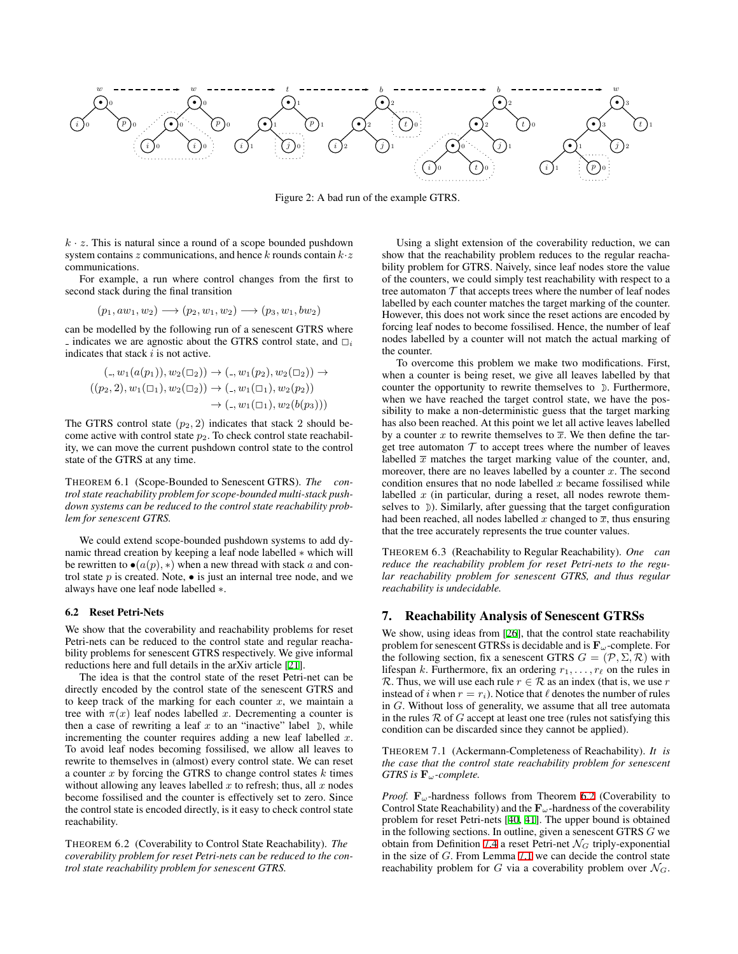<span id="page-5-2"></span>

Figure 2: A bad run of the example GTRS.

 $k \cdot z$ . This is natural since a round of a scope bounded pushdown system contains *z* communications, and hence *k* rounds contain *k·z* communications.

For example, a run where control changes from the first to second stack during the final transition

$$
(p_1, aw_1, w_2) \longrightarrow (p_2, w_1, w_2) \longrightarrow (p_3, w_1, bw_2)
$$

can be modelled by the following run of a senescent GTRS where  $\overline{\phantom{a}}$  indicates we are agnostic about the GTRS control state, and  $\overline{\phantom{a}}_i$ indicates that stack *i* is not active.

$$
(\_,w_1(a(p_1)),w_2(\square_2)) \to (\_,w_1(p_2),w_2(\square_2)) \to ((p_2,2),w_1(\square_1),w_2(\square_2)) \to (\_,w_1(\square_1),w_2(p_2)) \to (\_,w_1(\square_1),w_2(b(p_3)))
$$

The GTRS control state  $(p_2, 2)$  indicates that stack 2 should become active with control state  $p_2$ . To check control state reachability, we can move the current pushdown control state to the control state of the GTRS at any time.

THEOREM 6.1 (Scope-Bounded to Senescent GTRS). *The control state reachability problem for scope-bounded multi-stack pushdown systems can be reduced to the control state reachability problem for senescent GTRS.*

We could extend scope-bounded pushdown systems to add dynamic thread creation by keeping a leaf node labelled *∗* which will be rewritten to  $\bullet(a(p),*)$  when a new thread with stack *a* and control state *p* is created. Note, *•* is just an internal tree node, and we always have one leaf node labelled *∗*.

#### 6.2 Reset Petri-Nets

We show that the coverability and reachability problems for reset Petri-nets can be reduced to the control state and regular reachability problems for senescent GTRS respectively. We give informal reductions here and full details in the arXiv article [\[21](#page-9-17)].

The idea is that the control state of the reset Petri-net can be directly encoded by the control state of the senescent GTRS and to keep track of the marking for each counter  $x$ , we maintain a tree with  $\pi(x)$  leaf nodes labelled *x*. Decrementing a counter is then a case of rewriting a leaf  $x$  to an "inactive" label  $\mathcal{D}$ , while incrementing the counter requires adding a new leaf labelled *x*. To avoid leaf nodes becoming fossilised, we allow all leaves to rewrite to themselves in (almost) every control state. We can reset a counter *x* by forcing the GTRS to change control states *k* times without allowing any leaves labelled *x* to refresh; thus, all *x* nodes become fossilised and the counter is effectively set to zero. Since the control state is encoded directly, is it easy to check control state reachability.

<span id="page-5-3"></span>THEOREM 6.2 (Coverability to Control State Reachability). *The coverability problem for reset Petri-nets can be reduced to the control state reachability problem for senescent GTRS.*

Using a slight extension of the coverability reduction, we can show that the reachability problem reduces to the regular reachability problem for GTRS. Naively, since leaf nodes store the value of the counters, we could simply test reachability with respect to a tree automaton  $T$  that accepts trees where the number of leaf nodes labelled by each counter matches the target marking of the counter. However, this does not work since the reset actions are encoded by forcing leaf nodes to become fossilised. Hence, the number of leaf nodes labelled by a counter will not match the actual marking of the counter.

To overcome this problem we make two modifications. First, when a counter is being reset, we give all leaves labelled by that counter the opportunity to rewrite themselves to  $\Sigma$ . Furthermore, when we have reached the target control state, we have the possibility to make a non-deterministic guess that the target marking has also been reached. At this point we let all active leaves labelled by a counter *x* to rewrite themselves to  $\overline{x}$ . We then define the target tree automaton  $T$  to accept trees where the number of leaves labelled  $\bar{x}$  matches the target marking value of the counter, and, moreover, there are no leaves labelled by a counter *x*. The second condition ensures that no node labelled *x* became fossilised while labelled *x* (in particular, during a reset, all nodes rewrote themselves to  $\mathcal{D}$ ). Similarly, after guessing that the target configuration had been reached, all nodes labelled x changed to  $\overline{x}$ , thus ensuring that the tree accurately represents the true counter values.

<span id="page-5-1"></span>THEOREM 6.3 (Reachability to Regular Reachability). *One can reduce the reachability problem for reset Petri-nets to the regular reachability problem for senescent GTRS, and thus regular reachability is undecidable.*

## 7. Reachability Analysis of Senescent GTRSs

We show, using ideas from [\[26](#page-9-40)], that the control state reachability problem for senescent GTRSs is decidable and is **F***ω*-complete. For the following section, fix a senescent GTRS  $G = (\mathcal{P}, \Sigma, \mathcal{R})$  with lifespan *k*. Furthermore, fix an ordering *r*1*, . . . , r<sup>ℓ</sup>* on the rules in *R*. Thus, we will use each rule  $r \in \mathcal{R}$  as an index (that is, we use  $r$ instead of *i* when  $r = r_i$ ). Notice that  $\ell$  denotes the number of rules in *G*. Without loss of generality, we assume that all tree automata in the rules  $R$  of  $G$  accept at least one tree (rules not satisfying this condition can be discarded since they cannot be applied).

<span id="page-5-0"></span>THEOREM 7.1 (Ackermann-Completeness of Reachability). *It is the case that the control state reachability problem for senescent GTRS is* **F***ω-complete.*

*Proof.* **F***ω*-hardness follows from Theorem [6.2](#page-5-3) (Coverability to Control State Reachability) and the  $\mathbf{F}_{\omega}$ -hardness of the coverability problem for reset Petri-nets [[40,](#page-9-35) [41\]](#page-9-36). The upper bound is obtained in the following sections. In outline, given a senescent GTRS *G* we obtain from Definition [7.4](#page-8-0) a reset Petri-net  $\mathcal{N}_G$  triply-exponential in the size of *G*. From Lemma [7.1](#page-8-1) we can decide the control state reachability problem for *G* via a coverability problem over  $\mathcal{N}_G$ .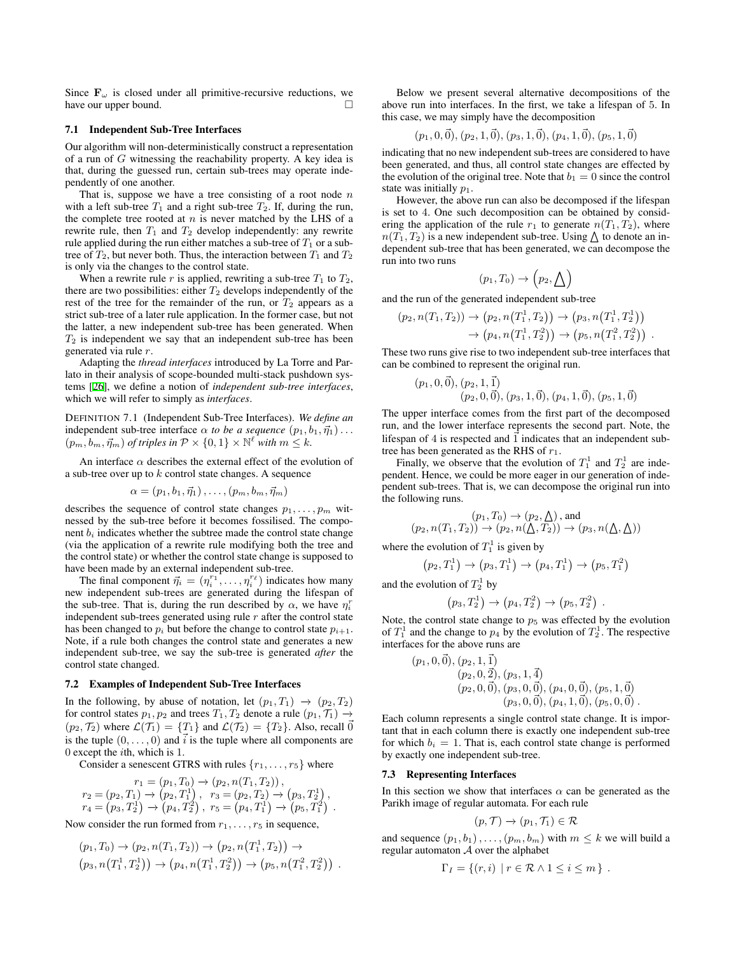Since  $\mathbf{F}_{\omega}$  is closed under all primitive-recursive reductions, we have our upper bound. □

#### 7.1 Independent Sub-Tree Interfaces

Our algorithm will non-deterministically construct a representation of a run of *G* witnessing the reachability property. A key idea is that, during the guessed run, certain sub-trees may operate independently of one another.

That is, suppose we have a tree consisting of a root node *n* with a left sub-tree  $T_1$  and a right sub-tree  $T_2$ . If, during the run, the complete tree rooted at  $n$  is never matched by the LHS of a rewrite rule, then  $T_1$  and  $T_2$  develop independently: any rewrite rule applied during the run either matches a sub-tree of  $T_1$  or a subtree of  $T_2$ , but never both. Thus, the interaction between  $T_1$  and  $T_2$ is only via the changes to the control state.

When a rewrite rule  $r$  is applied, rewriting a sub-tree  $T_1$  to  $T_2$ , there are two possibilities: either  $T_2$  develops independently of the rest of the tree for the remainder of the run, or  $T_2$  appears as a strict sub-tree of a later rule application. In the former case, but not the latter, a new independent sub-tree has been generated. When *T*<sup>2</sup> is independent we say that an independent sub-tree has been generated via rule *r*.

Adapting the *thread interfaces* introduced by La Torre and Parlato in their analysis of scope-bounded multi-stack pushdown systems [\[26\]](#page-9-40), we define a notion of *independent sub-tree interfaces*, which we will refer to simply as *interfaces*.

DEFINITION 7.1 (Independent Sub-Tree Interfaces). *We define an* independent sub-tree interface  $\alpha$  *to be a sequence*  $(p_1, b_1, \vec{\eta}_1) \dots$  $(p_m, b_m, \vec{\eta}_m)$  *of triples in*  $\mathcal{P} \times \{0, 1\} \times \mathbb{N}^{\ell}$  *with*  $m \leq k$ *.* 

An interface  $\alpha$  describes the external effect of the evolution of a sub-tree over up to *k* control state changes. A sequence

$$
\alpha = (p_1, b_1, \vec{\eta}_1), \ldots, (p_m, b_m, \vec{\eta}_m)
$$

describes the sequence of control state changes *p*1*, . . . , p<sup>m</sup>* witnessed by the sub-tree before it becomes fossilised. The component  $b_i$  indicates whether the subtree made the control state change (via the application of a rewrite rule modifying both the tree and the control state) or whether the control state change is supposed to have been made by an external independent sub-tree.

The final component  $\vec{\eta}_i = (\eta_i^{r_1}, \dots, \eta_i^{r_\ell})$  indicates how many new independent sub-trees are generated during the lifespan of the sub-tree. That is, during the run described by  $\alpha$ , we have  $\eta_i^r$ independent sub-trees generated using rule *r* after the control state has been changed to  $p_i$  but before the change to control state  $p_{i+1}$ . Note, if a rule both changes the control state and generates a new independent sub-tree, we say the sub-tree is generated *after* the control state changed.

#### 7.2 Examples of Independent Sub-Tree Interfaces

In the following, by abuse of notation, let  $(p_1, T_1) \rightarrow (p_2, T_2)$ for control states  $p_1, p_2$  and trees  $T_1, T_2$  denote a rule  $(p_1, \mathcal{T}_1) \rightarrow$  $(p_2, \mathcal{T}_2)$  where  $\mathcal{L}(\mathcal{T}_1) = \{T_1\}$  and  $\mathcal{L}(\mathcal{T}_2) = \{T_2\}$ . Also, recall  $\vec{0}$ is the tuple  $(0, \ldots, 0)$  and  $\vec{i}$  is the tuple where all components are 0 except the *i*th, which is 1.

Consider a senescent GTRS with rules *{r*1*, . . . , r*5*}* where

$$
r_1 = (p_1, T_0) \rightarrow (p_2, n(T_1, T_2)),
$$
  
\n
$$
r_2 = (p_2, T_1) \rightarrow (p_2, T_1^1), r_3 = (p_2, T_2) \rightarrow (p_3, T_2^1),
$$
  
\n
$$
r_4 = (p_3, T_2^1) \rightarrow (p_4, T_2^2), r_5 = (p_4, T_1^1) \rightarrow (p_5, T_1^2).
$$

Now consider the run formed from  $r_1, \ldots, r_5$  in sequence,

$$
(p_1, T_0) \to (p_2, n(T_1, T_2)) \to (p_2, n(T_1^1, T_2)) \to (p_3, n(T_1^1, T_2^1)) \to (p_4, n(T_1^1, T_2^2)) \to (p_5, n(T_1^2, T_2^2)) .
$$

 $\mathcal{L}$ 

Below we present several alternative decompositions of the above run into interfaces. In the first, we take a lifespan of 5. In this case, we may simply have the decomposition

$$
(p_1, 0, \vec{0}), (p_2, 1, \vec{0}), (p_3, 1, \vec{0}), (p_4, 1, \vec{0}), (p_5, 1, \vec{0})
$$

indicating that no new independent sub-trees are considered to have been generated, and thus, all control state changes are effected by the evolution of the original tree. Note that  $b_1 = 0$  since the control state was initially  $p_1$ .

However, the above run can also be decomposed if the lifespan is set to 4. One such decomposition can be obtained by considering the application of the rule  $r_1$  to generate  $n(T_1, T_2)$ , where  $n(\overline{T_1}, T_2)$  is a new independent sub-tree. Using  $\Delta$  to denote an independent sub-tree that has been generated, we can decompose the run into two runs

$$
(p_1,T_0)\to (p_2,\underline{\Lambda})
$$

and the run of the generated independent sub-tree

$$
(p_2, n(T_1, T_2)) \to (p_2, n(T_1^1, T_2)) \to (p_3, n(T_1^1, T_2^1))
$$
  

$$
\to (p_4, n(T_1^1, T_2^2)) \to (p_5, n(T_1^2, T_2^2))
$$
.

These two runs give rise to two independent sub-tree interfaces that can be combined to represent the original run.

$$
(p_1, 0, \vec{0}), (p_2, 1, \vec{1}) (p_2, 0, \vec{0}), (p_3, 1, \vec{0}), (p_4, 1, \vec{0}), (p_5, 1, \vec{0})
$$

The upper interface comes from the first part of the decomposed run, and the lower interface represents the second part. Note, the lifespan of 4 is respected and  $\vec{1}$  indicates that an independent subtree has been generated as the RHS of *r*1.

Finally, we observe that the evolution of  $T_1^1$  and  $T_2^1$  are independent. Hence, we could be more eager in our generation of independent sub-trees. That is, we can decompose the original run into the following runs.

$$
(p_1, T_0) \to (p_2, \underline{\Lambda}), \text{ and}
$$
  

$$
(p_2, n(T_1, T_2)) \to (p_2, n(\underline{\Lambda}, T_2)) \to (p_3, n(\underline{\Lambda}, \underline{\Lambda}))
$$

where the evolution of  $T_1^1$  is given by

$$
(p_2, T_1^1) \to (p_3, T_1^1) \to (p_4, T_1^1) \to (p_5, T_1^2)
$$

and the evolution of  $T_2^1$  by

$$
(p_3,T_2^1) \to (p_4,T_2^2) \to (p_5,T_2^2) .
$$

Note, the control state change to  $p<sub>5</sub>$  was effected by the evolution of  $T_1^1$  and the change to  $p_4$  by the evolution of  $T_2^1$ . The respective interfaces for the above runs are

$$
(p_1, 0, \vec{0}), (p_2, 1, \vec{1})(p_2, 0, \vec{2}), (p_3, 1, \vec{4})(p_2, 0, \vec{0}), (p_3, 0, \vec{0}), (p_4, 0, \vec{0}), (p_5, 1, \vec{0})(p_3, 0, \vec{0}), (p_4, 1, \vec{0}), (p_5, 0, \vec{0}).
$$

Each column represents a single control state change. It is important that in each column there is exactly one independent sub-tree for which  $b_i = 1$ . That is, each control state change is performed by exactly one independent sub-tree.

#### 7.3 Representing Interfaces

In this section we show that interfaces  $\alpha$  can be generated as the Parikh image of regular automata. For each rule

$$
(p, \mathcal{T}) \to (p_1, \mathcal{T}_1) \in \mathcal{R}
$$

and sequence  $(p_1, b_1)$ ,  $\dots$ ,  $(p_m, b_m)$  with  $m \leq k$  we will build a regular automaton *A* over the alphabet

$$
\Gamma_I = \{(r,i) \mid r \in \mathcal{R} \land 1 \leq i \leq m\} .
$$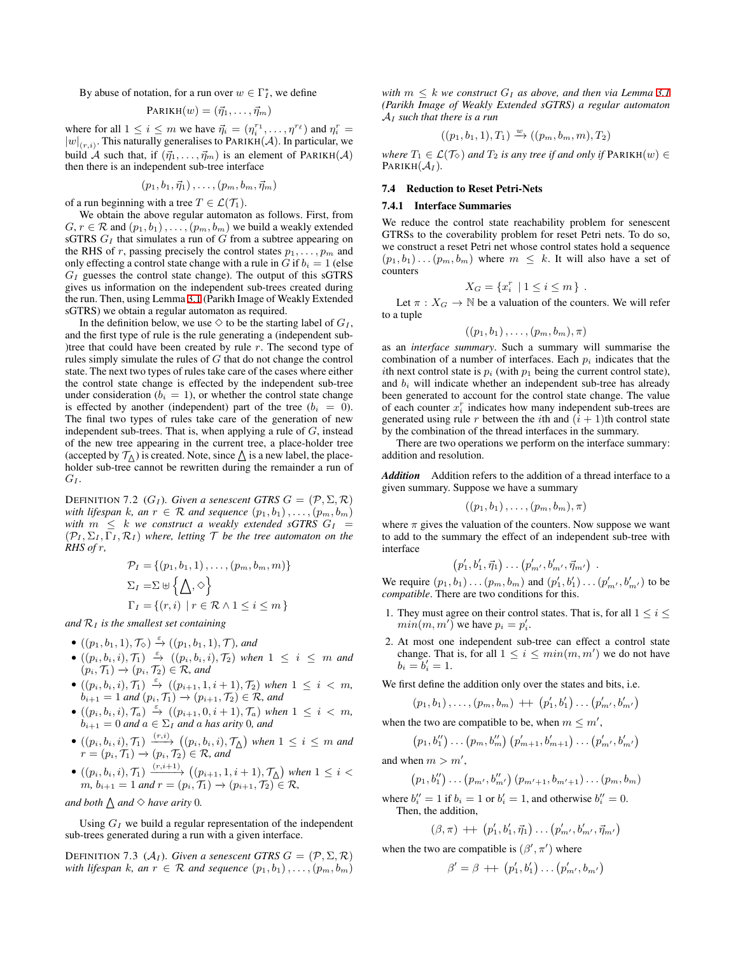By abuse of notation, for a run over  $w \in \Gamma_I^*$ , we define

$$
PARIKH(w) = (\vec{\eta}_1, \ldots, \vec{\eta}_m)
$$

where for all  $1 \leq i \leq m$  we have  $\vec{\eta}_i = (\eta_i^{r_1}, \dots, \eta^{r_\ell})$  and  $\eta_i^r =$  $|w|_{(r,i)}$ . This naturally generalises to PARIKH(*A*). In particular, we build *A* such that, if  $(\vec{\eta}_1, \ldots, \vec{\eta}_m)$  is an element of PARIKH(*A*) then there is an independent sub-tree interface

$$
(p_1,b_1,\vec{\eta}_1),\ldots,(p_m,b_m,\vec{\eta}_m)
$$

of a run beginning with a tree  $T \in \mathcal{L}(\mathcal{T}_1)$ .

We obtain the above regular automaton as follows. First, from  $G, r \in \mathcal{R}$  and  $(p_1, b_1), \ldots, (p_m, b_m)$  we build a weakly extended sGTRS *G<sup>I</sup>* that simulates a run of *G* from a subtree appearing on the RHS of *r*, passing precisely the control states  $p_1, \ldots, p_m$  and only effecting a control state change with a rule in *G* if  $b_i = 1$  (else  $G_I$  guesses the control state change). The output of this sGTRS gives us information on the independent sub-trees created during the run. Then, using Lemma [3.1](#page-3-3) (Parikh Image of Weakly Extended sGTRS) we obtain a regular automaton as required.

In the definition below, we use  $\diamondsuit$  to be the starting label of  $G_I$ , and the first type of rule is the rule generating a (independent sub- )tree that could have been created by rule *r*. The second type of rules simply simulate the rules of *G* that do not change the control state. The next two types of rules take care of the cases where either the control state change is effected by the independent sub-tree under consideration ( $b_i = 1$ ), or whether the control state change is effected by another (independent) part of the tree  $(b_i = 0)$ . The final two types of rules take care of the generation of new independent sub-trees. That is, when applying a rule of *G*, instead of the new tree appearing in the current tree, a place-holder tree (accepted by  $\mathcal{T}_{\Lambda}$ ) is created. Note, since  $\Delta$  is a new label, the placeholder sub-tree cannot be rewritten during the remainder a run of *G<sup>I</sup>* .

DEFINITION 7.2 ( $G_I$ ). *Given a senescent GTRS*  $G = (\mathcal{P}, \Sigma, \mathcal{R})$ *with lifespan k, an*  $r \in \mathcal{R}$  *and sequence*  $(p_1, b_1), \ldots, (p_m, b_m)$ *with*  $m \leq k$  *we construct a weakly extended sGTRS*  $G_I$  =  $({\cal P}_I, \Sigma_I, \Gamma_I, {\cal R}_I)$  where, letting  ${\cal T}$  be the tree automaton on the *RHS of r,*

$$
\mathcal{P}_I = \{ (p_1, b_1, 1), \dots, (p_m, b_m, m) \}
$$
  
\n
$$
\Sigma_I = \Sigma \uplus \{ \bigwedge, \diamond \}
$$
  
\n
$$
\Gamma_I = \{ (r, i) \mid r \in \mathcal{R} \land 1 \le i \le m \}
$$

*and R<sup>I</sup> is the smallest set containing*

- *•*  $((p_1, b_1, 1), \mathcal{T}_{\Diamond}) \stackrel{\varepsilon}{\rightarrow} ((p_1, b_1, 1), \mathcal{T})$ *, and*
- *•* ((*pi, bi, i*)*, T*1) *<sup>ε</sup>−→* ((*pi, bi, i*)*, T*2) *when* 1 *≤ i ≤ m and*  $(p_i, \mathcal{T}_1) \rightarrow (p_i, \mathcal{T}_2) \in \mathcal{R}$ *, and*
- $((p_i, b_i, i), \mathcal{T}_1) \stackrel{\varepsilon}{\to} ((p_{i+1}, 1, i+1), \mathcal{T}_2)$  when  $1 ≤ i < m$ ,  $b_{i+1} = 1$  *and*  $(p_i, \mathcal{T}_1) \to (p_{i+1}, \mathcal{T}_2) \in \mathcal{R}$ *, and*
- $((p_i, b_i, i), \mathcal{T}_a) \stackrel{\varepsilon}{\rightarrow} ((p_{i+1}, 0, i+1), \mathcal{T}_a)$  when  $1 ≤ i < m$ ,  $b_{i+1} = 0$  *and*  $a \in \Sigma_I$  *and a has arity* 0*, and*
- $\bullet$   $((p_i, b_i, i), \mathcal{T}_1) \xrightarrow{(r, i)} ((p_i, b_i, i), \mathcal{T}_{\Delta})$  when  $1 \leq i \leq m$  and  $r = (p_i, \mathcal{T}_1) \rightarrow (p_i, \mathcal{T}_2) \in \mathcal{R}$ *, and*
- $\bullet$  ( $(p_i, b_i, i)$ ,  $\mathcal{T}_1$ )  $\xrightarrow{(r, i+1)}$  ( $(p_{i+1}, 1, i+1)$ ,  $\mathcal{T}_\Delta$ ) when  $1 ≤ i <$  $m, b_{i+1} = 1$  *and*  $r = (p_i, \mathcal{T}_1) \rightarrow (p_{i+1}, \mathcal{T}_2) \in \mathcal{R}$ ,

*and both*  $\triangle$  *and*  $\diamond$  *have arity* 0*.* 

Using  $G_I$  we build a regular representation of the independent sub-trees generated during a run with a given interface.

<span id="page-7-0"></span>DEFINITION 7.3 ( $A_I$ ). *Given a senescent GTRS*  $G = (\mathcal{P}, \Sigma, \mathcal{R})$ *with lifespan k, an*  $r \in \mathcal{R}$  *and sequence*  $(p_1, b_1), \ldots, (p_m, b_m)$ 

*with*  $m \leq k$  *we construct*  $G_I$  *as above, and then via Lemma [3.1](#page-3-3) (Parikh Image of Weakly Extended sGTRS) a regular automaton A<sup>I</sup> such that there is a run*

$$
((p_1, b_1, 1), T_1) \xrightarrow{w} ((p_m, b_m, m), T_2)
$$

*where*  $T_1 \in \mathcal{L}(\mathcal{T}_{\diamond})$  *and*  $T_2$  *is any tree if and only if*  $\text{PARKH}(w) \in$ PARIKH $(A_I)$ .

#### 7.4 Reduction to Reset Petri-Nets

#### 7.4.1 Interface Summaries

We reduce the control state reachability problem for senescent GTRSs to the coverability problem for reset Petri nets. To do so, we construct a reset Petri net whose control states hold a sequence  $(p_1, b_1) \ldots (p_m, b_m)$  where  $m \leq k$ . It will also have a set of counters

$$
X_G = \{x_i^r \mid 1 \le i \le m\}.
$$

Let  $\pi$  :  $X_G \to \mathbb{N}$  be a valuation of the counters. We will refer to a tuple

$$
((p_1,b_1),\ldots,(p_m,b_m),\pi)
$$

as an *interface summary*. Such a summary will summarise the combination of a number of interfaces. Each *p<sup>i</sup>* indicates that the *i*th next control state is  $p_i$  (with  $p_1$  being the current control state), and  $b_i$  will indicate whether an independent sub-tree has already been generated to account for the control state change. The value of each counter  $x_i^r$  indicates how many independent sub-trees are generated using rule *r* between the *i*th and  $(i + 1)$ th control state by the combination of the thread interfaces in the summary.

There are two operations we perform on the interface summary: addition and resolution.

*Addition* Addition refers to the addition of a thread interface to a given summary. Suppose we have a summary

$$
((p_1,b_1),\ldots,(p_m,b_m),\pi)
$$

where  $\pi$  gives the valuation of the counters. Now suppose we want to add to the summary the effect of an independent sub-tree with interface

$$
(p'_1, b'_1, \vec{\eta}_1) \ldots (p'_{m'}, b'_{m'}, \vec{\eta}_{m'}) \ .
$$

We require  $(p_1, b_1) \ldots (p_m, b_m)$  and  $(p'_1, b'_1) \ldots (p'_{m'}, b'_{m'})$  to be *compatible*. There are two conditions for this.

- 1. They must agree on their control states. That is, for all  $1 \leq i \leq j$ *min*(*m*, *m'*) we have  $p_i = p'_i$ .
- 2. At most one independent sub-tree can effect a control state change. That is, for all  $1 \leq i \leq min(m, m')$  we do not have  $b_i = b'_i = 1.$

We first define the addition only over the states and bits, i.e.

$$
(p_1, b_1), \ldots, (p_m, b_m) + (p'_1, b'_1) \ldots (p'_{m'}, b'_{m'})
$$

when the two are compatible to be, when  $m \leq m'$ ,

$$
(p_1, b''_1) \dots (p_m, b''_m) (p'_{m+1}, b'_{m+1}) \dots (p'_{m'}, b'_{m'})
$$

and when  $m > m'$ ,

$$
(p_1, b''_1) \dots (p_{m'}, b''_{m'}) (p_{m'+1}, b_{m'+1}) \dots (p_m, b_m)
$$

where  $b_i'' = 1$  if  $b_i = 1$  or  $b_i' = 1$ , and otherwise  $b_i'' = 0$ . Then, the addition,

$$
(\beta,\pi) \, + \, \cdot \, (p'_1,b'_1,\vec{\eta}_1) \ldots (p'_{m'},b'_{m'},\vec{\eta}_{m'})
$$

when the two are compatible is  $(\beta', \pi')$  where

$$
\beta' = \beta + \left( p'_1, b'_1 \right) \dots \left( p'_{m'}, b_{m'} \right)
$$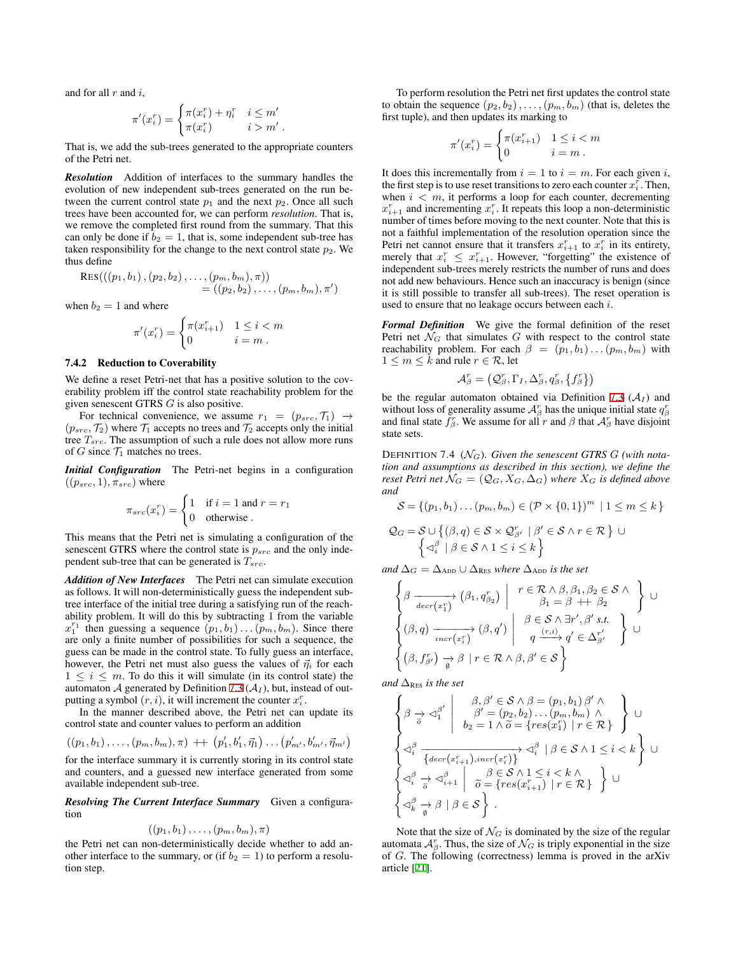and for all *r* and *i*,

$$
\pi'(x_i^r) = \begin{cases} \pi(x_i^r) + \eta_i^r & i \leq m' \\ \pi(x_i^r) & i > m' \end{cases}
$$

*.*

That is, we add the sub-trees generated to the appropriate counters of the Petri net.

*Resolution* Addition of interfaces to the summary handles the evolution of new independent sub-trees generated on the run between the current control state  $p_1$  and the next  $p_2$ . Once all such trees have been accounted for, we can perform *resolution*. That is, we remove the completed first round from the summary. That this can only be done if  $b_2 = 1$ , that is, some independent sub-tree has taken responsibility for the change to the next control state  $p_2$ . We thus define

$$
RES(((p_1, b_1), (p_2, b_2), \ldots, (p_m, b_m), \pi))
$$
  
=  $((p_2, b_2), \ldots, (p_m, b_m), \pi')$ 

when  $b_2 = 1$  and where

$$
\pi'(x_i^r) = \begin{cases} \pi(x_{i+1}^r) & 1 \le i < m \\ 0 & i = m \end{cases}
$$

#### 7.4.2 Reduction to Coverability

We define a reset Petri-net that has a positive solution to the coverability problem iff the control state reachability problem for the given senescent GTRS *G* is also positive.

For technical convenience, we assume  $r_1 = (p_{src}, \mathcal{T}_1) \rightarrow$  $(p_{src}, T_2)$  where  $T_1$  accepts no trees and  $T_2$  accepts only the initial tree *Tsrc*. The assumption of such a rule does not allow more runs of *G* since  $\mathcal{T}_1$  matches no trees.

*Initial Configuration* The Petri-net begins in a configuration  $((p_{src}, 1), \pi_{src})$  where

$$
\pi_{src}(x_i^r) = \begin{cases} 1 & \text{if } i = 1 \text{ and } r = r_1 \\ 0 & \text{otherwise} \end{cases}
$$

This means that the Petri net is simulating a configuration of the senescent GTRS where the control state is *psrc* and the only independent sub-tree that can be generated is *Tsrc*.

*Addition of New Interfaces* The Petri net can simulate execution as follows. It will non-deterministically guess the independent subtree interface of the initial tree during a satisfying run of the reachability problem. It will do this by subtracting 1 from the variable  $x_1^{r_1}$  then guessing a sequence  $(p_1, b_1) \dots (p_m, b_m)$ . Since there are only a finite number of possibilities for such a sequence, the guess can be made in the control state. To fully guess an interface, however, the Petri net must also guess the values of  $\vec{\eta}_i$  for each  $1 \leq i \leq m$ . To do this it will simulate (in its control state) the automaton  $A$  generated by Definition [7.3](#page-7-0)  $(A_I)$ , but, instead of outputting a symbol  $(r, i)$ , it will increment the counter  $x_i^r$ .

In the manner described above, the Petri net can update its control state and counter values to perform an addition

$$
((p_1, b_1), \ldots, (p_m, b_m), \pi) + ((p'_1, b'_1, \vec{\eta}_1) \ldots (p'_{m'}, b'_{m'}, \vec{\eta}_{m'})
$$

for the interface summary it is currently storing in its control state and counters, and a guessed new interface generated from some available independent sub-tree.

*Resolving The Current Interface Summary* Given a configuration

$$
((p_1,b_1),\ldots,(p_m,b_m),\pi)
$$

the Petri net can non-deterministically decide whether to add another interface to the summary, or (if  $b_2 = 1$ ) to perform a resolution step.

To perform resolution the Petri net first updates the control state to obtain the sequence  $(p_2, b_2)$ , ...,  $(p_m, b_m)$  (that is, deletes the first tuple), and then updates its marking to

$$
\pi'(x_i^r) = \begin{cases} \pi(x_{i+1}^r) & 1 \le i < m \\ 0 & i = m \end{cases}
$$

It does this incrementally from  $i = 1$  to  $i = m$ . For each given *i*, the first step is to use reset transitions to zero each counter  $x_i^r$ . Then, when  $i < m$ , it performs a loop for each counter, decrementing  $x_{i+1}^r$  and incrementing  $x_i^r$ . It repeats this loop a non-deterministic number of times before moving to the next counter. Note that this is not a faithful implementation of the resolution operation since the Petri net cannot ensure that it transfers  $x_{i+1}^r$  to  $x_i^r$  in its entirety, merely that  $x_i^r \leq x_{i+1}^r$ . However, "forgetting" the existence of independent sub-trees merely restricts the number of runs and does not add new behaviours. Hence such an inaccuracy is benign (since it is still possible to transfer all sub-trees). The reset operation is used to ensure that no leakage occurs between each *i*.

*Formal Definition* We give the formal definition of the reset Petri net  $\mathcal{N}_G$  that simulates  $G$  with respect to the control state reachability problem. For each  $\beta = (p_1, b_1) \dots (p_m, b_m)$  with 1 *≤ m ≤ k* and rule *r ∈ R*, let

$$
\mathcal{A}_{\beta}^{r} = (\mathcal{Q}_{\beta}^{r}, \Gamma_{I}, \Delta_{\beta}^{r}, q_{\beta}^{r}, \{f_{\beta}^{r}\})
$$

be the regular automaton obtained via Definition [7.3](#page-7-0)  $(A<sub>I</sub>)$  and without loss of generality assume  $\mathcal{A}_{\beta}^{r}$  has the unique initial state  $q_{\beta}^{r}$ and final state  $\tilde{f}_{\beta}^r$ . We assume for all *r* and  $\beta$  that  $\mathcal{A}_{\beta}^r$  have disjoint state sets.

<span id="page-8-0"></span>DEFINITION 7.4 ( $\mathcal{N}_G$ ). Given the senescent GTRS G (with nota*tion and assumptions as described in this section), we define the reset Petri net*  $\mathcal{N}_G = (Q_G, X_G, \Delta_G)$  *where*  $X_G$  *is defined above and*

$$
S = \{(p_1, b_1) \dots (p_m, b_m) \in (\mathcal{P} \times \{0, 1\})^m \mid 1 \le m \le k\}
$$

$$
Q_G = S \cup \{ (\beta, q) \in S \times Q_{\beta'}^r \mid \beta' \in S \land r \in \mathcal{R} \} \cup \\ \left\{ \triangleleft_i^{\beta} \mid \beta \in S \land 1 \le i \le k \right\} \right\}
$$

*and*  $\Delta$ <sup>*G*</sup> =  $\Delta$ <sub>ADD</sub> ∪  $\Delta$ <sub>RES</sub> *where*  $\Delta$ <sub>ADD</sub> *is the set* 

$$
\begin{cases}\n\beta \xrightarrow[icr(x_1^r)]{} (\beta_1, q_{\beta_2}^r) \quad r \in \mathcal{R} \land \beta_1, \beta_2 \in \mathcal{S} \land \\
\beta_1 = \beta + \beta_2 \\
(\beta, q) \xrightarrow[icr(x_1^r)]{} (\beta, q') \quad \beta \in \mathcal{S} \land \exists r', \beta' \text{ s.t.} \\
q \xrightarrow[cr(x_1^r)]{} q' \in \Delta_{\beta'}^{r'} \quad \end{cases} \bigcup \\
\begin{cases}\n\beta \in \mathcal{S} \land \exists r', \beta' \text{ s.t.} \\
q \xrightarrow[icr(x_1^r)]{} q' \in \Delta_{\beta'}^{r'} \\
(\beta, f_{\beta'}^r) \rightarrow \beta \mid r \in \mathcal{R} \land \beta, \beta' \in \mathcal{S}\n\end{cases}
$$

*and* ∆<sup>R</sup>ES *is the set*

$$
\left\{ \begin{array}{c} \beta \Rightarrow \lhd^{\beta'}_1 \left| \begin{array}{c} \beta, \beta' \in \mathcal{S} \land \beta = (p_1, b_1) \, \beta' \land \\ \beta' = (p_2, b_2) \ldots (p_m, b_m) \land \\ b_2 = 1 \land \widetilde{o} = \{ res(x_1^r) \mid r \in \mathcal{R} \} \end{array} \right\} \, \cup \right. \\ \left\{ \begin{array}{c} \lhd^{\beta}_i \left\{ \frac{1}{4} \operatorname{decr}(x_{i+1}^r), \operatorname{incr}(x_i^r) \right\} \end{array} \right. \lhd^{\beta'}_i \mid \beta \in \mathcal{S} \land 1 \leq i < k \right\} \, \cup \left\{ \begin{array}{c} \lhd^{\beta}_i \Rightarrow \lhd^{\beta}_{i+1} \left| \begin{array}{c} \widetilde{o} \in \mathcal{S} \land 1 \leq i < k \land \\ \widetilde{o} = \{ res(x_{i+1}^r) \mid r \in \mathcal{R} \} \end{array} \right\} \, \cup \left\{ \begin{array}{c} \lhd^{\beta}_i \Rightarrow \beta \mid \beta \in \mathcal{S} \end{array} \right\} \, . \end{array} \right.
$$

<span id="page-8-1"></span>Note that the size of  $\mathcal{N}_G$  is dominated by the size of the regular automata  $A^r_\beta$ . Thus, the size of  $\mathcal{N}_G$  is triply exponential in the size of *G*. The following (correctness) lemma is proved in the arXiv article [[21\]](#page-9-17).